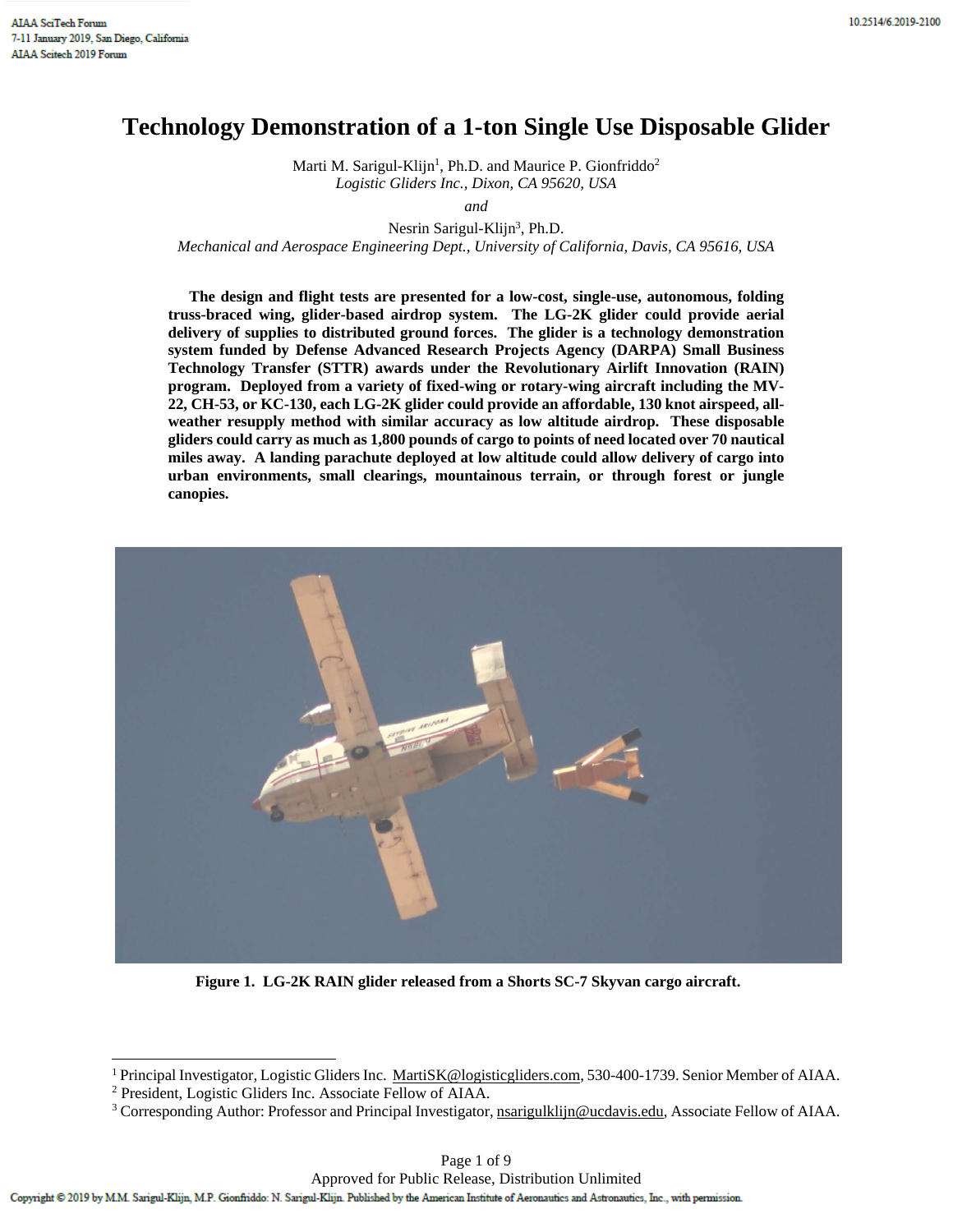# **Technology Demonstration of a 1-ton Single Use Disposable Glider**

Marti M. Sarigul-Klijn<sup>1</sup>, Ph.D. and Maurice P. Gionfriddo<sup>2</sup> *Logistic Gliders Inc., Dixon, CA 95620, USA* 

*and* 

Nesrin Sarigul-Klijn<sup>3</sup>, Ph.D. *Mechanical and Aerospace Engineering Dept., University of California, Davis, CA 95616, USA* 

**The design and flight tests are presented for a low-cost, single-use, autonomous, folding truss-braced wing, glider-based airdrop system. The LG-2K glider could provide aerial delivery of supplies to distributed ground forces. The glider is a technology demonstration system funded by Defense Advanced Research Projects Agency (DARPA) Small Business Technology Transfer (STTR) awards under the Revolutionary Airlift Innovation (RAIN) program. Deployed from a variety of fixed-wing or rotary-wing aircraft including the MV-22, CH-53, or KC-130, each LG-2K glider could provide an affordable, 130 knot airspeed, allweather resupply method with similar accuracy as low altitude airdrop. These disposable gliders could carry as much as 1,800 pounds of cargo to points of need located over 70 nautical miles away. A landing parachute deployed at low altitude could allow delivery of cargo into urban environments, small clearings, mountainous terrain, or through forest or jungle canopies.** 



**Figure 1. LG-2K RAIN glider released from a Shorts SC-7 Skyvan cargo aircraft.** 

l

<sup>&</sup>lt;sup>1</sup> Principal Investigator, Logistic Gliders Inc. MartiSK@logisticgliders.com, 530-400-1739. Senior Member of AIAA.<br><sup>2</sup> President Logistic Gliders Inc. Associate Fellow of AIAA

<sup>&</sup>lt;sup>2</sup> President, Logistic Gliders Inc. Associate Fellow of AIAA.

<sup>&</sup>lt;sup>3</sup> Corresponding Author: Professor and Principal Investigator, nsarigulklijn@ucdavis.edu, Associate Fellow of AIAA.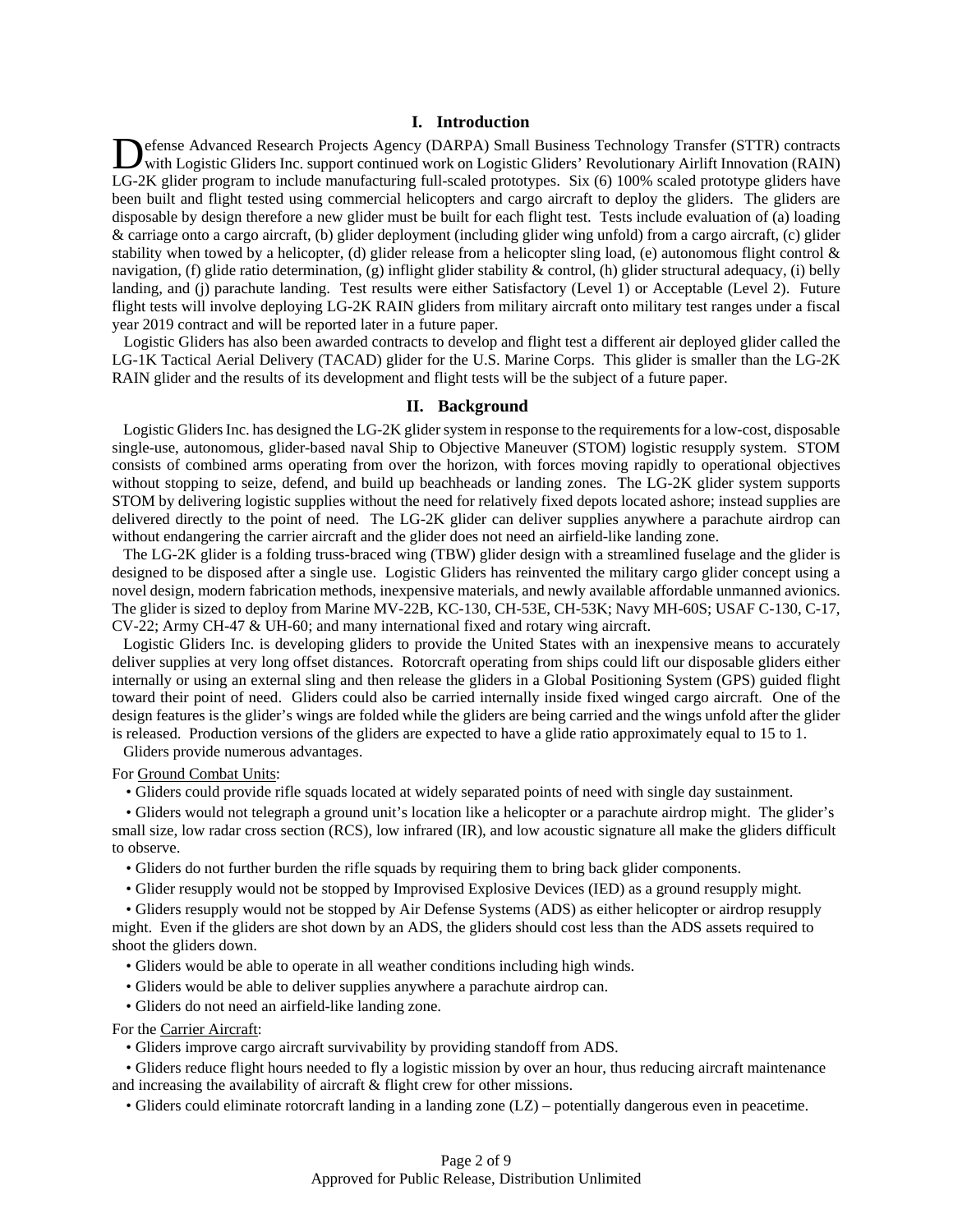## **I. Introduction**

efense Advanced Research Projects Agency (DARPA) Small Business Technology Transfer (STTR) contracts Defense Advanced Research Projects Agency (DARPA) Small Business Technology Transfer (STTR) contracts with Logistic Gliders Inc. support continued work on Logistic Gliders' Revolutionary Airlift Innovation (RAIN) LG-2K glider program to include manufacturing full-scaled prototypes. Six (6) 100% scaled prototype gliders have been built and flight tested using commercial helicopters and cargo aircraft to deploy the gliders. The gliders are disposable by design therefore a new glider must be built for each flight test. Tests include evaluation of (a) loading & carriage onto a cargo aircraft, (b) glider deployment (including glider wing unfold) from a cargo aircraft, (c) glider stability when towed by a helicopter, (d) glider release from a helicopter sling load, (e) autonomous flight control  $\&$ navigation, (f) glide ratio determination, (g) inflight glider stability  $\&$  control, (h) glider structural adequacy, (i) belly landing, and (j) parachute landing. Test results were either Satisfactory (Level 1) or Acceptable (Level 2). Future flight tests will involve deploying LG-2K RAIN gliders from military aircraft onto military test ranges under a fiscal year 2019 contract and will be reported later in a future paper.

 Logistic Gliders has also been awarded contracts to develop and flight test a different air deployed glider called the LG-1K Tactical Aerial Delivery (TACAD) glider for the U.S. Marine Corps. This glider is smaller than the LG-2K RAIN glider and the results of its development and flight tests will be the subject of a future paper.

#### **II. Background**

Logistic Gliders Inc. has designed the LG-2K glider system in response to the requirements for a low-cost, disposable single-use, autonomous, glider-based naval Ship to Objective Maneuver (STOM) logistic resupply system. STOM consists of combined arms operating from over the horizon, with forces moving rapidly to operational objectives without stopping to seize, defend, and build up beachheads or landing zones. The LG-2K glider system supports STOM by delivering logistic supplies without the need for relatively fixed depots located ashore; instead supplies are delivered directly to the point of need. The LG-2K glider can deliver supplies anywhere a parachute airdrop can without endangering the carrier aircraft and the glider does not need an airfield-like landing zone.

The LG-2K glider is a folding truss-braced wing (TBW) glider design with a streamlined fuselage and the glider is designed to be disposed after a single use. Logistic Gliders has reinvented the military cargo glider concept using a novel design, modern fabrication methods, inexpensive materials, and newly available affordable unmanned avionics. The glider is sized to deploy from Marine MV-22B, KC-130, CH-53E, CH-53K; Navy MH-60S; USAF C-130, C-17, CV-22; Army CH-47 & UH-60; and many international fixed and rotary wing aircraft.

Logistic Gliders Inc. is developing gliders to provide the United States with an inexpensive means to accurately deliver supplies at very long offset distances. Rotorcraft operating from ships could lift our disposable gliders either internally or using an external sling and then release the gliders in a Global Positioning System (GPS) guided flight toward their point of need. Gliders could also be carried internally inside fixed winged cargo aircraft. One of the design features is the glider's wings are folded while the gliders are being carried and the wings unfold after the glider is released. Production versions of the gliders are expected to have a glide ratio approximately equal to 15 to 1. Gliders provide numerous advantages.

For Ground Combat Units:

• Gliders could provide rifle squads located at widely separated points of need with single day sustainment.

• Gliders would not telegraph a ground unit's location like a helicopter or a parachute airdrop might. The glider's small size, low radar cross section (RCS), low infrared (IR), and low acoustic signature all make the gliders difficult to observe.

• Gliders do not further burden the rifle squads by requiring them to bring back glider components.

• Glider resupply would not be stopped by Improvised Explosive Devices (IED) as a ground resupply might.

• Gliders resupply would not be stopped by Air Defense Systems (ADS) as either helicopter or airdrop resupply might. Even if the gliders are shot down by an ADS, the gliders should cost less than the ADS assets required to shoot the gliders down.

- Gliders would be able to operate in all weather conditions including high winds.
- Gliders would be able to deliver supplies anywhere a parachute airdrop can.
- Gliders do not need an airfield-like landing zone.

For the Carrier Aircraft:

• Gliders improve cargo aircraft survivability by providing standoff from ADS.

• Gliders reduce flight hours needed to fly a logistic mission by over an hour, thus reducing aircraft maintenance and increasing the availability of aircraft & flight crew for other missions.

• Gliders could eliminate rotorcraft landing in a landing zone (LZ) – potentially dangerous even in peacetime.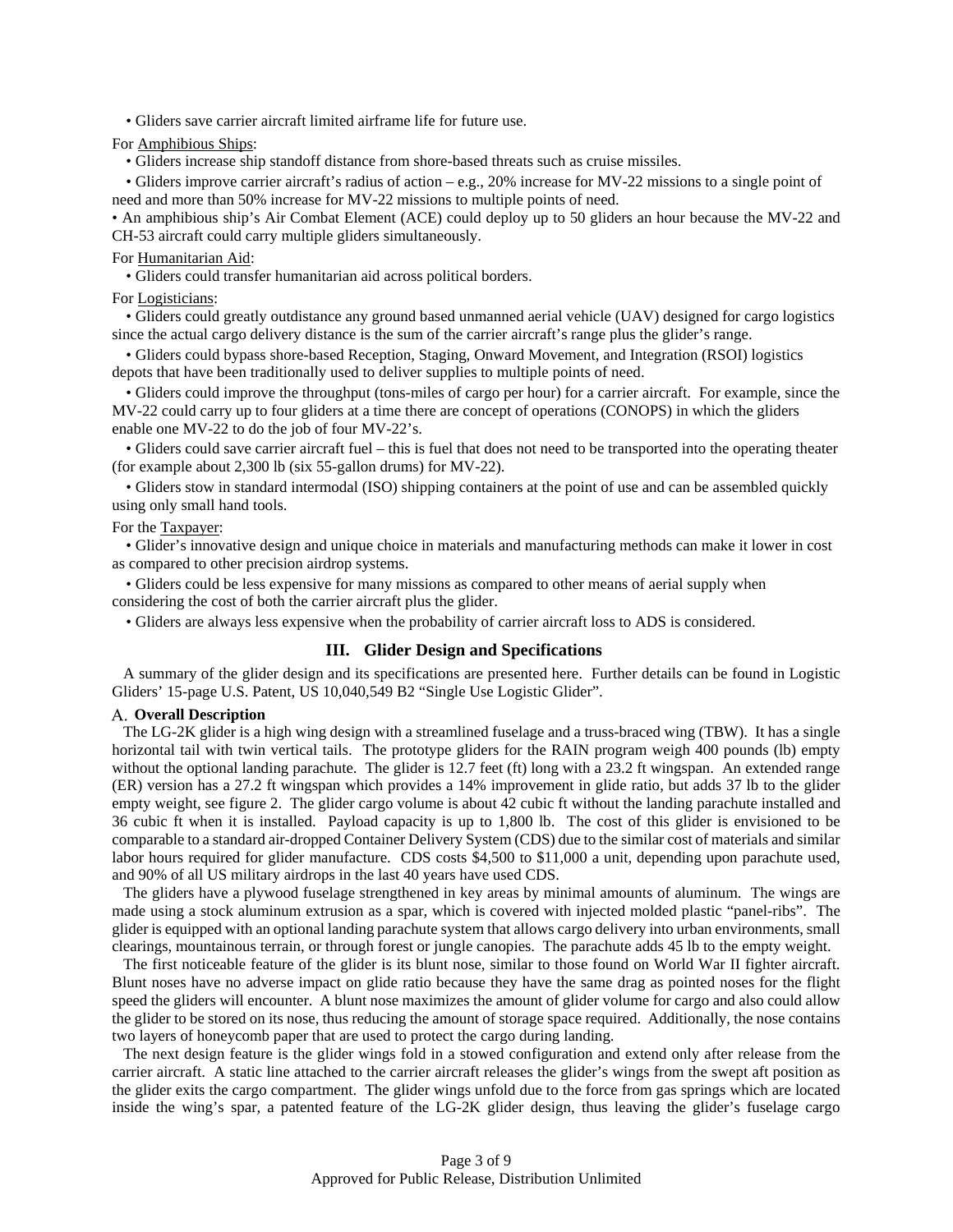• Gliders save carrier aircraft limited airframe life for future use.

For Amphibious Ships:

• Gliders increase ship standoff distance from shore-based threats such as cruise missiles.

• Gliders improve carrier aircraft's radius of action – e.g., 20% increase for MV-22 missions to a single point of need and more than 50% increase for MV-22 missions to multiple points of need.

• An amphibious ship's Air Combat Element (ACE) could deploy up to 50 gliders an hour because the MV-22 and CH-53 aircraft could carry multiple gliders simultaneously.

#### For Humanitarian Aid:

• Gliders could transfer humanitarian aid across political borders.

#### For Logisticians:

• Gliders could greatly outdistance any ground based unmanned aerial vehicle (UAV) designed for cargo logistics since the actual cargo delivery distance is the sum of the carrier aircraft's range plus the glider's range.

• Gliders could bypass shore-based Reception, Staging, Onward Movement, and Integration (RSOI) logistics depots that have been traditionally used to deliver supplies to multiple points of need.

• Gliders could improve the throughput (tons-miles of cargo per hour) for a carrier aircraft. For example, since the MV-22 could carry up to four gliders at a time there are concept of operations (CONOPS) in which the gliders enable one MV-22 to do the job of four MV-22's.

• Gliders could save carrier aircraft fuel – this is fuel that does not need to be transported into the operating theater (for example about 2,300 lb (six 55-gallon drums) for MV-22).

• Gliders stow in standard intermodal (ISO) shipping containers at the point of use and can be assembled quickly using only small hand tools.

#### For the Taxpayer:

• Glider's innovative design and unique choice in materials and manufacturing methods can make it lower in cost as compared to other precision airdrop systems.

• Gliders could be less expensive for many missions as compared to other means of aerial supply when considering the cost of both the carrier aircraft plus the glider.

• Gliders are always less expensive when the probability of carrier aircraft loss to ADS is considered.

## **III. Glider Design and Specifications**

A summary of the glider design and its specifications are presented here. Further details can be found in Logistic Gliders' 15-page U.S. Patent, US 10,040,549 B2 "Single Use Logistic Glider".

## **Overall Description**

The LG-2K glider is a high wing design with a streamlined fuselage and a truss-braced wing (TBW). It has a single horizontal tail with twin vertical tails. The prototype gliders for the RAIN program weigh 400 pounds (lb) empty without the optional landing parachute. The glider is 12.7 feet (ft) long with a 23.2 ft wingspan. An extended range (ER) version has a 27.2 ft wingspan which provides a 14% improvement in glide ratio, but adds 37 lb to the glider empty weight, see figure 2. The glider cargo volume is about 42 cubic ft without the landing parachute installed and 36 cubic ft when it is installed. Payload capacity is up to 1,800 lb. The cost of this glider is envisioned to be comparable to a standard air-dropped Container Delivery System (CDS) due to the similar cost of materials and similar labor hours required for glider manufacture. CDS costs \$4,500 to \$11,000 a unit, depending upon parachute used, and 90% of all US military airdrops in the last 40 years have used CDS.

The gliders have a plywood fuselage strengthened in key areas by minimal amounts of aluminum. The wings are made using a stock aluminum extrusion as a spar, which is covered with injected molded plastic "panel-ribs". The glider is equipped with an optional landing parachute system that allows cargo delivery into urban environments, small clearings, mountainous terrain, or through forest or jungle canopies. The parachute adds 45 lb to the empty weight.

The first noticeable feature of the glider is its blunt nose, similar to those found on World War II fighter aircraft. Blunt noses have no adverse impact on glide ratio because they have the same drag as pointed noses for the flight speed the gliders will encounter. A blunt nose maximizes the amount of glider volume for cargo and also could allow the glider to be stored on its nose, thus reducing the amount of storage space required. Additionally, the nose contains two layers of honeycomb paper that are used to protect the cargo during landing.

The next design feature is the glider wings fold in a stowed configuration and extend only after release from the carrier aircraft. A static line attached to the carrier aircraft releases the glider's wings from the swept aft position as the glider exits the cargo compartment. The glider wings unfold due to the force from gas springs which are located inside the wing's spar, a patented feature of the LG-2K glider design, thus leaving the glider's fuselage cargo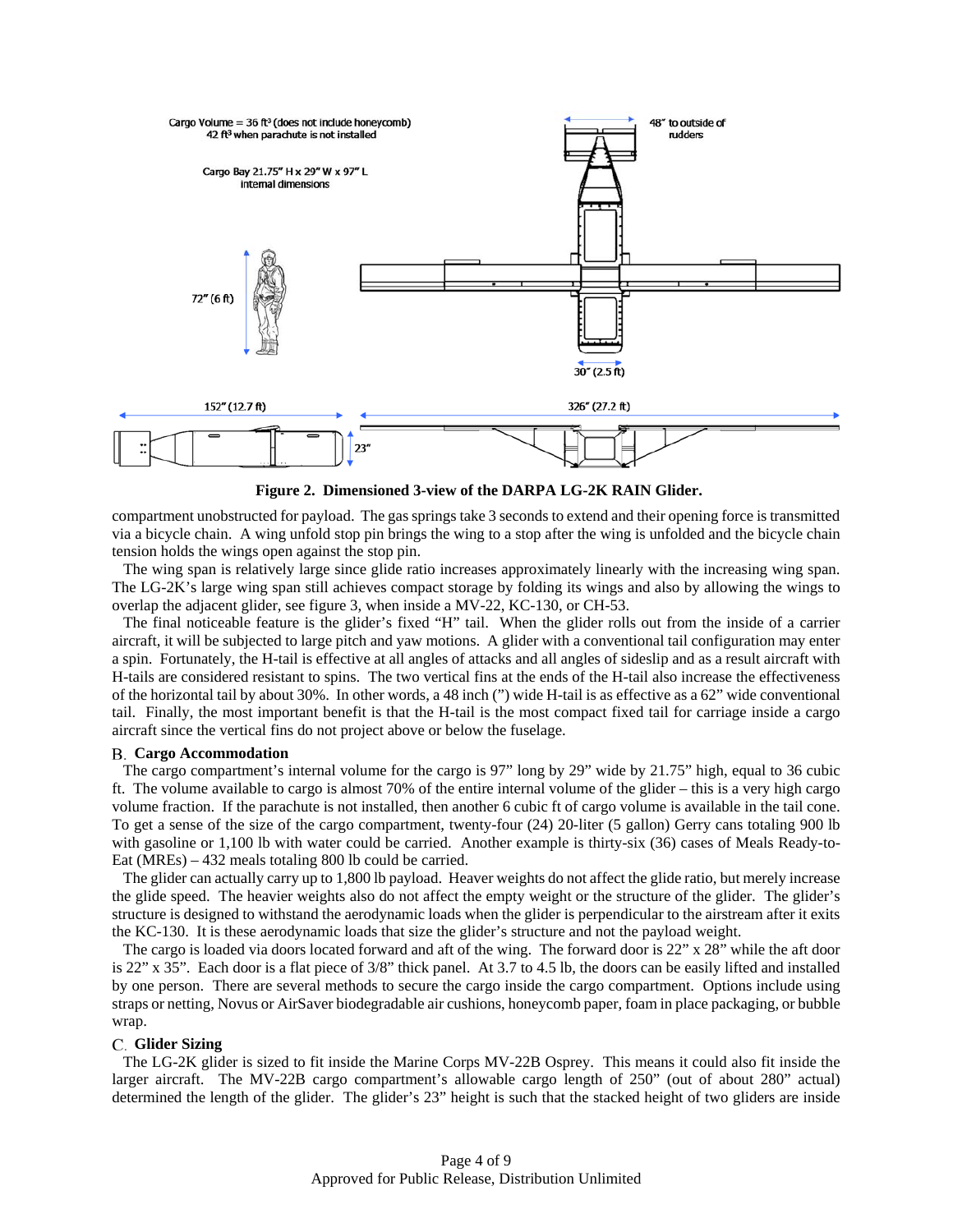

**Figure 2. Dimensioned 3-view of the DARPA LG-2K RAIN Glider.**

compartment unobstructed for payload. The gas springs take 3 seconds to extend and their opening force is transmitted via a bicycle chain. A wing unfold stop pin brings the wing to a stop after the wing is unfolded and the bicycle chain tension holds the wings open against the stop pin.

The wing span is relatively large since glide ratio increases approximately linearly with the increasing wing span. The LG-2K's large wing span still achieves compact storage by folding its wings and also by allowing the wings to overlap the adjacent glider, see figure 3, when inside a MV-22, KC-130, or CH-53.

The final noticeable feature is the glider's fixed "H" tail. When the glider rolls out from the inside of a carrier aircraft, it will be subjected to large pitch and yaw motions. A glider with a conventional tail configuration may enter a spin. Fortunately, the H-tail is effective at all angles of attacks and all angles of sideslip and as a result aircraft with H-tails are considered resistant to spins. The two vertical fins at the ends of the H-tail also increase the effectiveness of the horizontal tail by about  $30\%$ . In other words, a 48 inch (") wide H-tail is as effective as a 62" wide conventional tail. Finally, the most important benefit is that the H-tail is the most compact fixed tail for carriage inside a cargo aircraft since the vertical fins do not project above or below the fuselage.

#### **Cargo Accommodation**

The cargo compartment's internal volume for the cargo is 97" long by 29" wide by 21.75" high, equal to 36 cubic ft. The volume available to cargo is almost 70% of the entire internal volume of the glider – this is a very high cargo volume fraction. If the parachute is not installed, then another 6 cubic ft of cargo volume is available in the tail cone. To get a sense of the size of the cargo compartment, twenty-four (24) 20-liter (5 gallon) Gerry cans totaling 900 lb with gasoline or 1,100 lb with water could be carried. Another example is thirty-six (36) cases of Meals Ready-to-Eat (MREs) – 432 meals totaling 800 lb could be carried.

The glider can actually carry up to 1,800 lb payload. Heaver weights do not affect the glide ratio, but merely increase the glide speed. The heavier weights also do not affect the empty weight or the structure of the glider. The glider's structure is designed to withstand the aerodynamic loads when the glider is perpendicular to the airstream after it exits the KC-130. It is these aerodynamic loads that size the glider's structure and not the payload weight.

The cargo is loaded via doors located forward and aft of the wing. The forward door is 22" x 28" while the aft door is 22" x 35". Each door is a flat piece of 3/8" thick panel. At 3.7 to 4.5 lb, the doors can be easily lifted and installed by one person. There are several methods to secure the cargo inside the cargo compartment. Options include using straps or netting, Novus or AirSaver biodegradable air cushions, honeycomb paper, foam in place packaging, or bubble wrap.

## **Glider Sizing**

The LG-2K glider is sized to fit inside the Marine Corps MV-22B Osprey. This means it could also fit inside the larger aircraft. The MV-22B cargo compartment's allowable cargo length of 250" (out of about 280" actual) determined the length of the glider. The glider's 23" height is such that the stacked height of two gliders are inside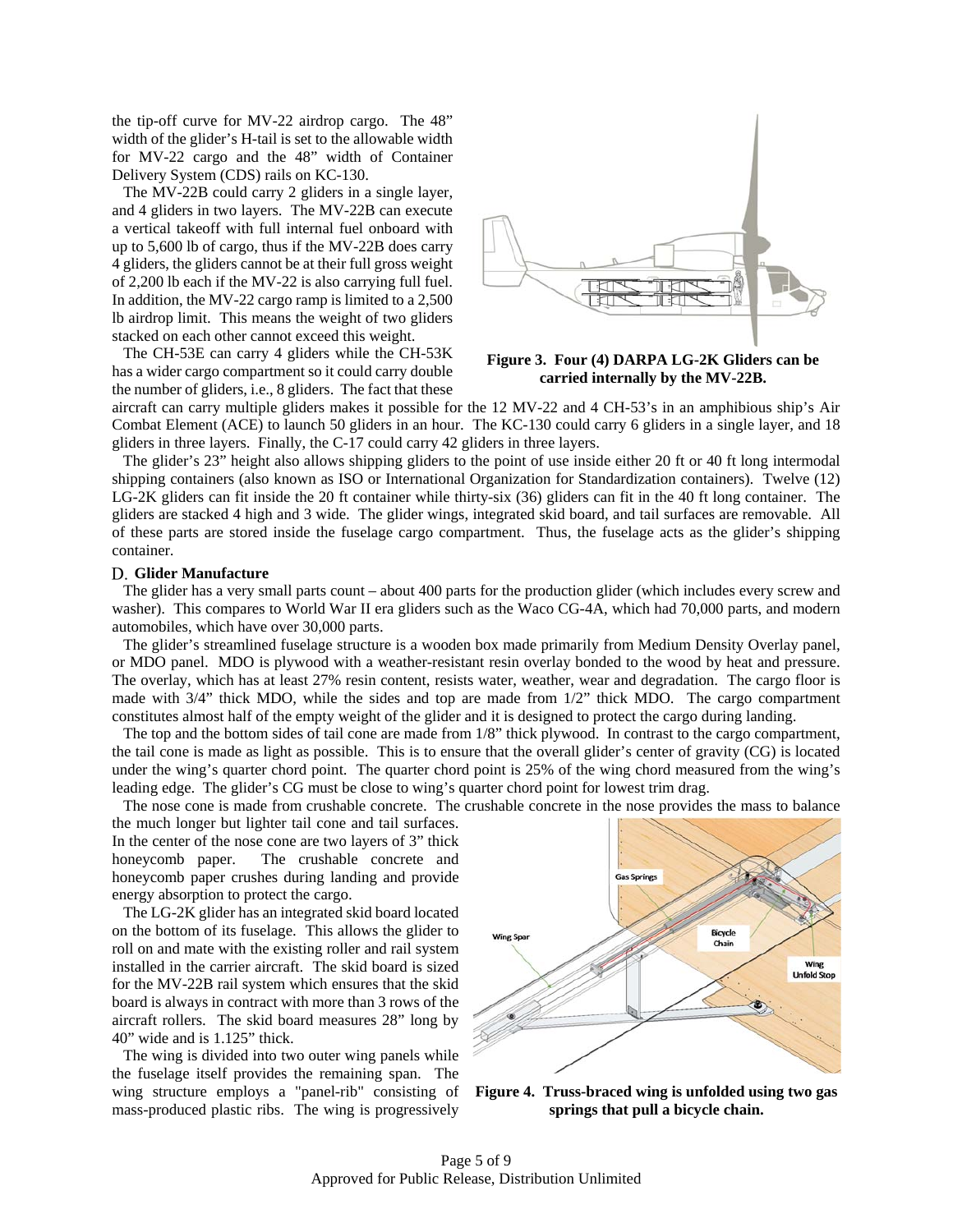the tip-off curve for MV-22 airdrop cargo. The 48" width of the glider's H-tail is set to the allowable width for MV-22 cargo and the 48" width of Container Delivery System (CDS) rails on KC-130.

The MV-22B could carry 2 gliders in a single layer, and 4 gliders in two layers. The MV-22B can execute a vertical takeoff with full internal fuel onboard with up to 5,600 lb of cargo, thus if the MV-22B does carry 4 gliders, the gliders cannot be at their full gross weight of 2,200 lb each if the MV-22 is also carrying full fuel. In addition, the MV-22 cargo ramp is limited to a 2,500 lb airdrop limit. This means the weight of two gliders stacked on each other cannot exceed this weight.

The CH-53E can carry 4 gliders while the CH-53K has a wider cargo compartment so it could carry double the number of gliders, i.e., 8 gliders. The fact that these



**Figure 3. Four (4) DARPA LG-2K Gliders can be carried internally by the MV-22B.**

aircraft can carry multiple gliders makes it possible for the 12 MV-22 and 4 CH-53's in an amphibious ship's Air Combat Element (ACE) to launch 50 gliders in an hour. The KC-130 could carry 6 gliders in a single layer, and 18 gliders in three layers. Finally, the C-17 could carry 42 gliders in three layers.

The glider's 23" height also allows shipping gliders to the point of use inside either 20 ft or 40 ft long intermodal shipping containers (also known as ISO or International Organization for Standardization containers). Twelve (12) LG-2K gliders can fit inside the 20 ft container while thirty-six (36) gliders can fit in the 40 ft long container. The gliders are stacked 4 high and 3 wide. The glider wings, integrated skid board, and tail surfaces are removable. All of these parts are stored inside the fuselage cargo compartment. Thus, the fuselage acts as the glider's shipping container.

## **Glider Manufacture**

The glider has a very small parts count – about 400 parts for the production glider (which includes every screw and washer). This compares to World War II era gliders such as the Waco CG-4A, which had 70,000 parts, and modern automobiles, which have over 30,000 parts.

The glider's streamlined fuselage structure is a wooden box made primarily from Medium Density Overlay panel, or MDO panel. MDO is plywood with a weather-resistant resin overlay bonded to the wood by heat and pressure. The overlay, which has at least 27% resin content, resists water, weather, wear and degradation. The cargo floor is made with 3/4" thick MDO, while the sides and top are made from 1/2" thick MDO. The cargo compartment constitutes almost half of the empty weight of the glider and it is designed to protect the cargo during landing.

The top and the bottom sides of tail cone are made from 1/8" thick plywood. In contrast to the cargo compartment, the tail cone is made as light as possible. This is to ensure that the overall glider's center of gravity (CG) is located under the wing's quarter chord point. The quarter chord point is 25% of the wing chord measured from the wing's leading edge. The glider's CG must be close to wing's quarter chord point for lowest trim drag.

The nose cone is made from crushable concrete. The crushable concrete in the nose provides the mass to balance

the much longer but lighter tail cone and tail surfaces. In the center of the nose cone are two layers of 3" thick honeycomb paper. The crushable concrete and honeycomb paper crushes during landing and provide energy absorption to protect the cargo.

The LG-2K glider has an integrated skid board located on the bottom of its fuselage. This allows the glider to roll on and mate with the existing roller and rail system installed in the carrier aircraft. The skid board is sized for the MV-22B rail system which ensures that the skid board is always in contract with more than 3 rows of the aircraft rollers. The skid board measures 28" long by 40" wide and is 1.125" thick.

The wing is divided into two outer wing panels while the fuselage itself provides the remaining span. The wing structure employs a "panel-rib" consisting of mass-produced plastic ribs. The wing is progressively



**Figure 4. Truss-braced wing is unfolded using two gas springs that pull a bicycle chain.**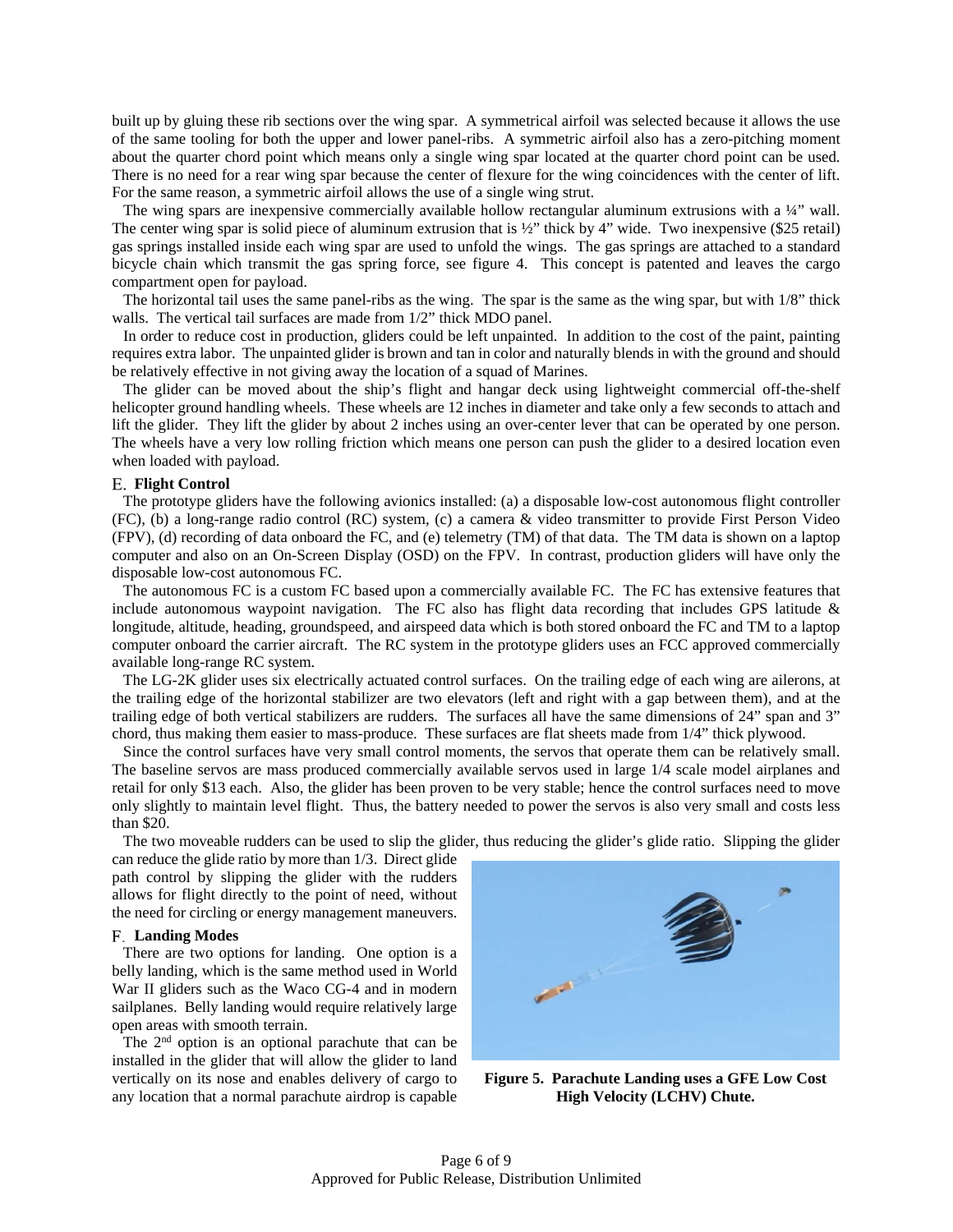built up by gluing these rib sections over the wing spar. A symmetrical airfoil was selected because it allows the use of the same tooling for both the upper and lower panel-ribs. A symmetric airfoil also has a zero-pitching moment about the quarter chord point which means only a single wing spar located at the quarter chord point can be used. There is no need for a rear wing spar because the center of flexure for the wing coincidences with the center of lift. For the same reason, a symmetric airfoil allows the use of a single wing strut.

The wing spars are inexpensive commercially available hollow rectangular aluminum extrusions with a ¼" wall. The center wing spar is solid piece of aluminum extrusion that is  $\frac{1}{2}$ " thick by 4" wide. Two inexpensive (\$25 retail) gas springs installed inside each wing spar are used to unfold the wings. The gas springs are attached to a standard bicycle chain which transmit the gas spring force, see figure 4. This concept is patented and leaves the cargo compartment open for payload.

The horizontal tail uses the same panel-ribs as the wing. The spar is the same as the wing spar, but with 1/8" thick walls. The vertical tail surfaces are made from 1/2" thick MDO panel.

In order to reduce cost in production, gliders could be left unpainted. In addition to the cost of the paint, painting requires extra labor. The unpainted glider is brown and tan in color and naturally blends in with the ground and should be relatively effective in not giving away the location of a squad of Marines.

The glider can be moved about the ship's flight and hangar deck using lightweight commercial off-the-shelf helicopter ground handling wheels. These wheels are 12 inches in diameter and take only a few seconds to attach and lift the glider. They lift the glider by about 2 inches using an over-center lever that can be operated by one person. The wheels have a very low rolling friction which means one person can push the glider to a desired location even when loaded with payload.

#### **Flight Control**

The prototype gliders have the following avionics installed: (a) a disposable low-cost autonomous flight controller (FC), (b) a long-range radio control (RC) system, (c) a camera & video transmitter to provide First Person Video (FPV), (d) recording of data onboard the FC, and (e) telemetry (TM) of that data. The TM data is shown on a laptop computer and also on an On-Screen Display (OSD) on the FPV. In contrast, production gliders will have only the disposable low-cost autonomous FC.

The autonomous FC is a custom FC based upon a commercially available FC. The FC has extensive features that include autonomous waypoint navigation. The FC also has flight data recording that includes GPS latitude  $\&$ longitude, altitude, heading, groundspeed, and airspeed data which is both stored onboard the FC and TM to a laptop computer onboard the carrier aircraft. The RC system in the prototype gliders uses an FCC approved commercially available long-range RC system.

The LG-2K glider uses six electrically actuated control surfaces. On the trailing edge of each wing are ailerons, at the trailing edge of the horizontal stabilizer are two elevators (left and right with a gap between them), and at the trailing edge of both vertical stabilizers are rudders. The surfaces all have the same dimensions of 24" span and 3" chord, thus making them easier to mass-produce. These surfaces are flat sheets made from 1/4" thick plywood.

Since the control surfaces have very small control moments, the servos that operate them can be relatively small. The baseline servos are mass produced commercially available servos used in large 1/4 scale model airplanes and retail for only \$13 each. Also, the glider has been proven to be very stable; hence the control surfaces need to move only slightly to maintain level flight. Thus, the battery needed to power the servos is also very small and costs less than \$20.

The two moveable rudders can be used to slip the glider, thus reducing the glider's glide ratio. Slipping the glider

can reduce the glide ratio by more than 1/3. Direct glide path control by slipping the glider with the rudders allows for flight directly to the point of need, without the need for circling or energy management maneuvers.

#### **Landing Modes**

There are two options for landing. One option is a belly landing, which is the same method used in World War II gliders such as the Waco CG-4 and in modern sailplanes. Belly landing would require relatively large open areas with smooth terrain.

The 2<sup>nd</sup> option is an optional parachute that can be installed in the glider that will allow the glider to land vertically on its nose and enables delivery of cargo to any location that a normal parachute airdrop is capable



**Figure 5. Parachute Landing uses a GFE Low Cost High Velocity (LCHV) Chute.**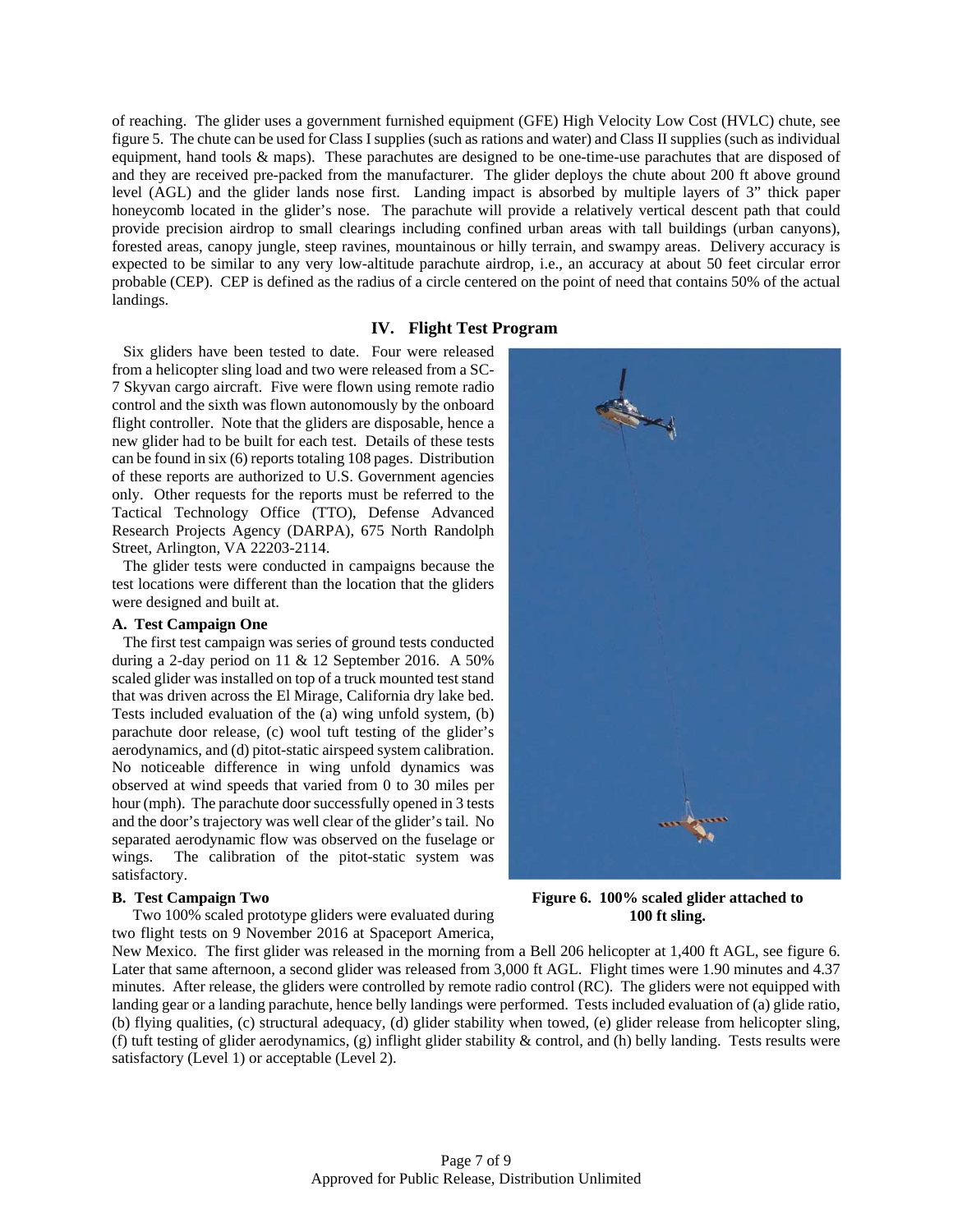of reaching. The glider uses a government furnished equipment (GFE) High Velocity Low Cost (HVLC) chute, see figure 5. The chute can be used for Class I supplies (such as rations and water) and Class II supplies (such as individual equipment, hand tools & maps). These parachutes are designed to be one-time-use parachutes that are disposed of and they are received pre-packed from the manufacturer. The glider deploys the chute about 200 ft above ground level (AGL) and the glider lands nose first. Landing impact is absorbed by multiple layers of 3" thick paper honeycomb located in the glider's nose. The parachute will provide a relatively vertical descent path that could provide precision airdrop to small clearings including confined urban areas with tall buildings (urban canyons), forested areas, canopy jungle, steep ravines, mountainous or hilly terrain, and swampy areas. Delivery accuracy is expected to be similar to any very low-altitude parachute airdrop, i.e., an accuracy at about 50 feet circular error probable (CEP). CEP is defined as the radius of a circle centered on the point of need that contains 50% of the actual landings.

#### **IV. Flight Test Program**

Six gliders have been tested to date. Four were released from a helicopter sling load and two were released from a SC-7 Skyvan cargo aircraft. Five were flown using remote radio control and the sixth was flown autonomously by the onboard flight controller. Note that the gliders are disposable, hence a new glider had to be built for each test. Details of these tests can be found in six (6) reports totaling 108 pages. Distribution of these reports are authorized to U.S. Government agencies only. Other requests for the reports must be referred to the Tactical Technology Office (TTO), Defense Advanced Research Projects Agency (DARPA), 675 North Randolph Street, Arlington, VA 22203-2114.

The glider tests were conducted in campaigns because the test locations were different than the location that the gliders were designed and built at.

## **A. Test Campaign One**

The first test campaign was series of ground tests conducted during a 2-day period on 11 & 12 September 2016. A 50% scaled glider was installed on top of a truck mounted test stand that was driven across the El Mirage, California dry lake bed. Tests included evaluation of the (a) wing unfold system, (b) parachute door release, (c) wool tuft testing of the glider's aerodynamics, and (d) pitot-static airspeed system calibration. No noticeable difference in wing unfold dynamics was observed at wind speeds that varied from 0 to 30 miles per hour (mph). The parachute door successfully opened in 3 tests and the door's trajectory was well clear of the glider's tail. No separated aerodynamic flow was observed on the fuselage or wings. The calibration of the pitot-static system was satisfactory.

#### **B. Test Campaign Two**

 Two 100% scaled prototype gliders were evaluated during two flight tests on 9 November 2016 at Spaceport America,

New Mexico. The first glider was released in the morning from a Bell 206 helicopter at 1,400 ft AGL, see figure 6. Later that same afternoon, a second glider was released from 3,000 ft AGL. Flight times were 1.90 minutes and 4.37 minutes. After release, the gliders were controlled by remote radio control (RC). The gliders were not equipped with landing gear or a landing parachute, hence belly landings were performed. Tests included evaluation of (a) glide ratio, (b) flying qualities, (c) structural adequacy, (d) glider stability when towed, (e) glider release from helicopter sling, (f) tuft testing of glider aerodynamics,  $(g)$  inflight glider stability & control, and (h) belly landing. Tests results were satisfactory (Level 1) or acceptable (Level 2).



**Figure 6. 100% scaled glider attached to 100 ft sling.**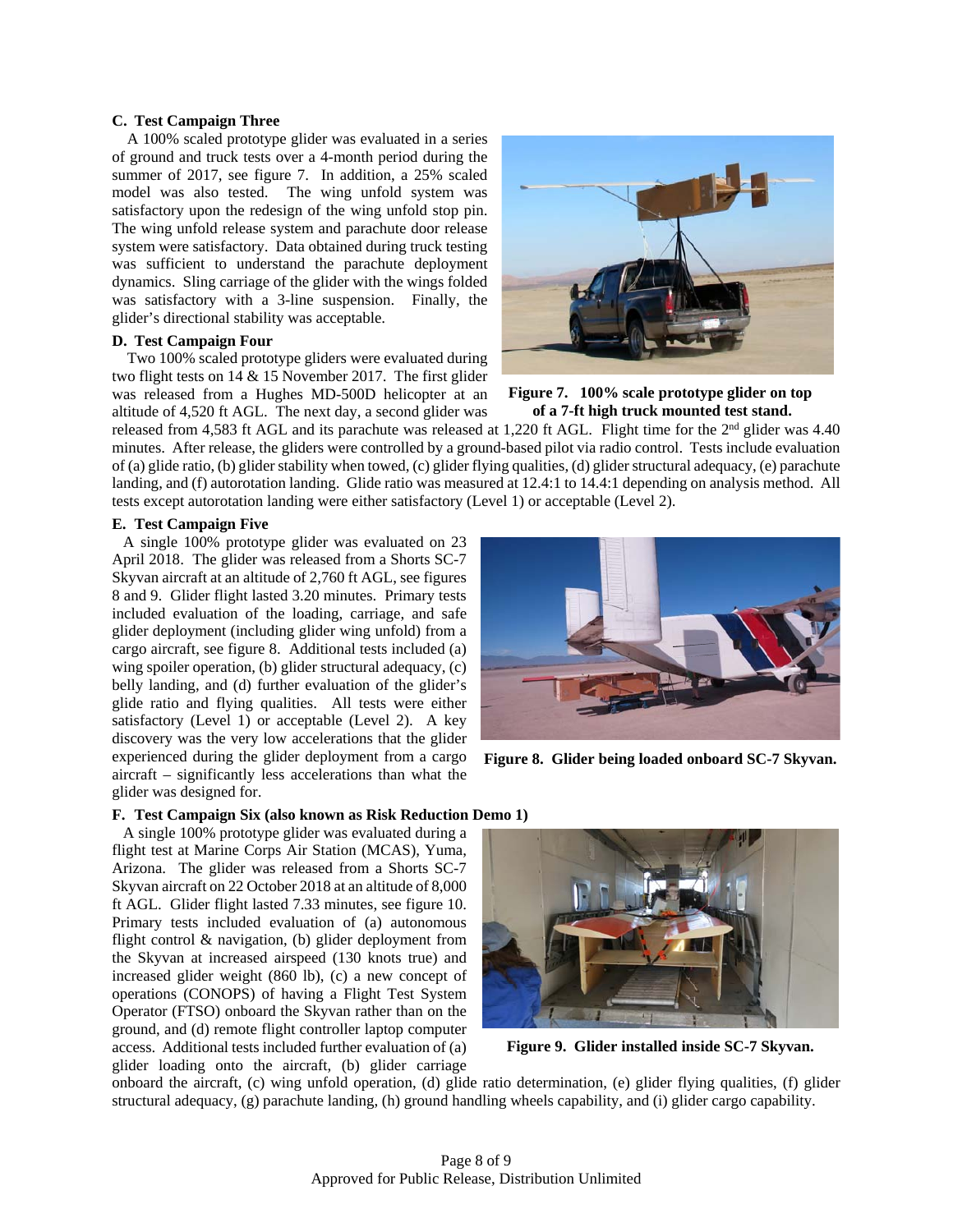#### **C. Test Campaign Three**

 A 100% scaled prototype glider was evaluated in a series of ground and truck tests over a 4-month period during the summer of 2017, see figure 7. In addition, a 25% scaled model was also tested. The wing unfold system was satisfactory upon the redesign of the wing unfold stop pin. The wing unfold release system and parachute door release system were satisfactory. Data obtained during truck testing was sufficient to understand the parachute deployment dynamics. Sling carriage of the glider with the wings folded was satisfactory with a 3-line suspension. Finally, the glider's directional stability was acceptable.

#### **D. Test Campaign Four**

 Two 100% scaled prototype gliders were evaluated during two flight tests on 14 & 15 November 2017. The first glider was released from a Hughes MD-500D helicopter at an altitude of 4,520 ft AGL. The next day, a second glider was

released from 4,583 ft AGL and its parachute was released at 1,220 ft AGL. Flight time for the 2<sup>nd</sup> glider was 4.40 minutes. After release, the gliders were controlled by a ground-based pilot via radio control. Tests include evaluation of (a) glide ratio, (b) glider stability when towed, (c) glider flying qualities, (d) glider structural adequacy, (e) parachute landing, and (f) autorotation landing. Glide ratio was measured at 12.4:1 to 14.4:1 depending on analysis method. All tests except autorotation landing were either satisfactory (Level 1) or acceptable (Level 2).

## **E. Test Campaign Five**

A single 100% prototype glider was evaluated on 23 April 2018. The glider was released from a Shorts SC-7 Skyvan aircraft at an altitude of 2,760 ft AGL, see figures 8 and 9. Glider flight lasted 3.20 minutes. Primary tests included evaluation of the loading, carriage, and safe glider deployment (including glider wing unfold) from a cargo aircraft, see figure 8. Additional tests included (a) wing spoiler operation, (b) glider structural adequacy, (c) belly landing, and (d) further evaluation of the glider's glide ratio and flying qualities. All tests were either satisfactory (Level 1) or acceptable (Level 2). A key discovery was the very low accelerations that the glider experienced during the glider deployment from a cargo aircraft – significantly less accelerations than what the glider was designed for.



**Figure 8. Glider being loaded onboard SC-7 Skyvan.**

#### **F. Test Campaign Six (also known as Risk Reduction Demo 1)**

A single 100% prototype glider was evaluated during a flight test at Marine Corps Air Station (MCAS), Yuma, Arizona. The glider was released from a Shorts SC-7 Skyvan aircraft on 22 October 2018 at an altitude of 8,000 ft AGL. Glider flight lasted 7.33 minutes, see figure 10. Primary tests included evaluation of (a) autonomous flight control & navigation, (b) glider deployment from the Skyvan at increased airspeed (130 knots true) and increased glider weight (860 lb), (c) a new concept of operations (CONOPS) of having a Flight Test System Operator (FTSO) onboard the Skyvan rather than on the ground, and (d) remote flight controller laptop computer access. Additional tests included further evaluation of (a) glider loading onto the aircraft, (b) glider carriage



**Figure 9. Glider installed inside SC-7 Skyvan.**

onboard the aircraft, (c) wing unfold operation, (d) glide ratio determination, (e) glider flying qualities, (f) glider structural adequacy, (g) parachute landing, (h) ground handling wheels capability, and (i) glider cargo capability.





**Figure 7. 100% scale prototype glider on top**